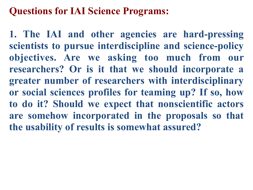## **Questions for IAI Science Programs:**

**1. The IAI and other agencies are hard-pressing scientists to pursue interdiscipline and science-policy objectives. Are we asking too much from our researchers? Or is it that we should incorporate a greater number of researchers with interdisciplinary or social sciences profiles for teaming up? If so, how to do it? Should we expect that nonscientific actors are somehow incorporated in the proposals so that the usability of results is somewhat assured?**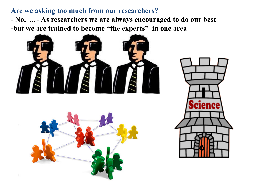## **Are we asking too much from our researchers?**

**- No, ... - As researchers we are always encouraged to do our best -but we are trained to become "the experts" in one area** 





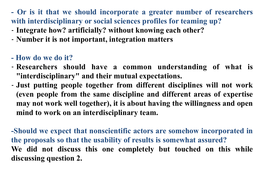**- Or is it that we should incorporate a greater number of researchers with interdisciplinary or social sciences profiles for teaming up?**

- **Integrate how? artificially? without knowing each other?**
- **Number it is not important, integration matters**
- **How do we do it?**
- **Researchers should have a common understanding of what is "interdisciplinary" and their mutual expectations.**
- **Just putting people together from different disciplines will not work (even people from the same discipline and different areas of expertise may not work well together), it is about having the willingness and open mind to work on an interdisciplinary team.**

**-Should we expect that nonscientific actors are somehow incorporated in the proposals so that the usability of results is somewhat assured? We did not discuss this one completely but touched on this while discussing question 2.**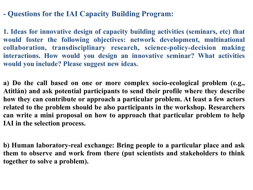## **- Questions for the IAI Capacity Building Program:**

**1. Ideas for innovative design of capacity building activities (seminars, etc) that would foster the following objectives: network development, multinational collaboration, transdisciplinary research, science-policy-decision making interactions. How would you design an innovative seminar? What activities would you include? Please suggest new ideas.**

**a) Do the call based on one or more complex socio-ecological problem (e.g., Atitlán) and ask potential participants to send their profile where they describe how they can contribute or approach a particular problem. At least a few actors related to the problem should be also participants in the workshop. Researchers can write a mini proposal on how to approach that particular problem to help IAI in the selection process.** 

**b) Human laboratory-real exchange: Bring people to a particular place and ask them to observe and work from there (put scientists and stakeholders to think together to solve a problem).**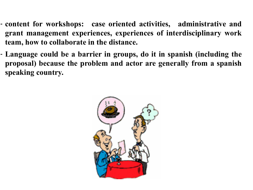- **content for workshops: case oriented activities, administrative and grant management experiences, experiences of interdisciplinary work team, how to collaborate in the distance.**
- **Language could be a barrier in groups, do it in spanish (including the proposal) because the problem and actor are generally from a spanish speaking country.**